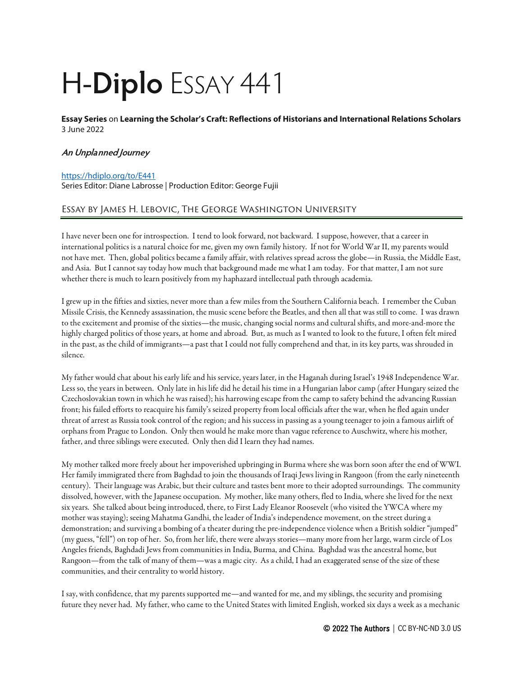# H-**Diplo** ESSAY 441

**Essay Series** on **Learning the Scholar's Craft: Reflections of Historians and International Relations Scholars**  3 June 2022

### **An Unplanned Journey**

#### <https://hdiplo.org/to/E441>

Series Editor: Diane Labrosse | Production Editor: George Fujii

## Essay by James H. Lebovic, The George Washington University

I have never been one for introspection. I tend to look forward, not backward. I suppose, however, that a career in international politics is a natural choice for me, given my own family history. If not for World War II, my parents would not have met. Then, global politics became a family affair, with relatives spread across the globe—in Russia, the Middle East, and Asia. But I cannot say today how much that background made me what I am today. For that matter, I am not sure whether there is much to learn positively from my haphazard intellectual path through academia.

I grew up in the fifties and sixties, never more than a few miles from the Southern California beach. I remember the Cuban Missile Crisis, the Kennedy assassination, the music scene before the Beatles, and then all that was still to come. I was drawn to the excitement and promise of the sixties—the music, changing social norms and cultural shifts, and more-and-more the highly charged politics of those years, at home and abroad. But, as much as I wanted to look to the future, I often felt mired in the past, as the child of immigrants—a past that I could not fully comprehend and that, in its key parts, was shrouded in silence.

My father would chat about his early life and his service, years later, in the Haganah during Israel's 1948 Independence War. Less so, the years in between. Only late in his life did he detail his time in a Hungarian labor camp (after Hungary seized the Czechoslovakian town in which he was raised); his harrowing escape from the camp to safety behind the advancing Russian front; his failed efforts to reacquire his family's seized property from local officials after the war, when he fled again under threat of arrest as Russia took control of the region; and his success in passing as a young teenager to join a famous airlift of orphans from Prague to London. Only then would he make more than vague reference to Auschwitz, where his mother, father, and three siblings were executed. Only then did I learn they had names.

My mother talked more freely about her impoverished upbringing in Burma where she was born soon after the end of WWI. Her family immigrated there from Baghdad to join the thousands of Iraqi Jews living in Rangoon (from the early nineteenth century). Their language was Arabic, but their culture and tastes bent more to their adopted surroundings. The community dissolved, however, with the Japanese occupation. My mother, like many others, fled to India, where she lived for the next six years. She talked about being introduced, there, to First Lady Eleanor Roosevelt (who visited the YWCA where my mother was staying); seeing Mahatma Gandhi, the leader of India's independence movement, on the street during a demonstration; and surviving a bombing of a theater during the pre-independence violence when a British soldier "jumped" (my guess, "fell") on top of her. So, from her life, there were always stories—many more from her large, warm circle of Los Angeles friends, Baghdadi Jews from communities in India, Burma, and China. Baghdad was the ancestral home, but Rangoon—from the talk of many of them—was a magic city. As a child, I had an exaggerated sense of the size of these communities, and their centrality to world history.

I say, with confidence, that my parents supported me—and wanted for me, and my siblings, the security and promising future they never had. My father, who came to the United States with limited English, worked six days a week as a mechanic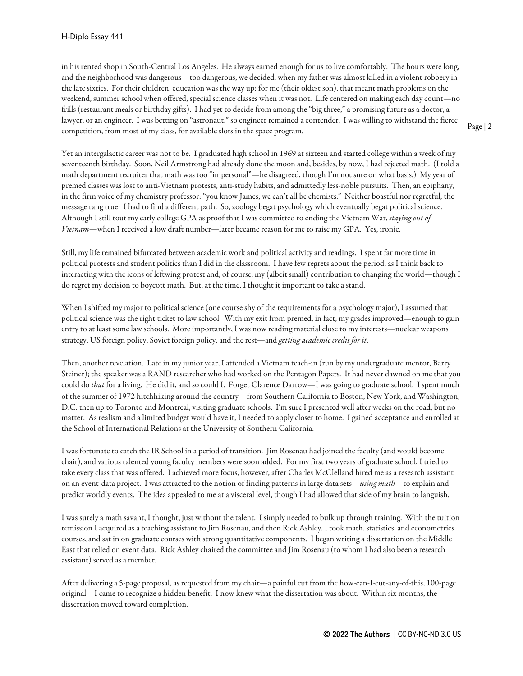in his rented shop in South-Central Los Angeles. He always earned enough for us to live comfortably. The hours were long, and the neighborhood was dangerous—too dangerous, we decided, when my father was almost killed in a violent robbery in the late sixties. For their children, education was the way up: for me (their oldest son), that meant math problems on the weekend, summer school when offered, special science classes when it was not. Life centered on making each day count—no frills (restaurant meals or birthday gifts). I had yet to decide from among the "big three," a promising future as a doctor, a lawyer, or an engineer. I was betting on "astronaut," so engineer remained a contender. I was willing to withstand the fierce competition, from most of my class, for available slots in the space program.

Yet an intergalactic career was not to be. I graduated high school in 1969 at sixteen and started college within a week of my seventeenth birthday. Soon, Neil Armstrong had already done the moon and, besides, by now, I had rejected math. (I told a math department recruiter that math was too "impersonal"—he disagreed, though I'm not sure on what basis.) My year of premed classes was lost to anti-Vietnam protests, anti-study habits, and admittedly less-noble pursuits. Then, an epiphany, in the firm voice of my chemistry professor: "you know James, we can't all be chemists." Neither boastful nor regretful, the message rang true: I had to find a different path. So, zoology begat psychology which eventually begat political science. Although I still tout my early college GPA as proof that I was committed to ending the Vietnam War, *staying out of Vietnam*—when I received a low draft number—later became reason for me to raise my GPA. Yes, ironic.

Still, my life remained bifurcated between academic work and political activity and readings. I spent far more time in political protests and student politics than I did in the classroom. I have few regrets about the period, as I think back to interacting with the icons of leftwing protest and, of course, my (albeit small) contribution to changing the world—though I do regret my decision to boycott math. But, at the time, I thought it important to take a stand.

When I shifted my major to political science (one course shy of the requirements for a psychology major), I assumed that political science was the right ticket to law school. With my exit from premed, in fact, my grades improved—enough to gain entry to at least some law schools. More importantly, I was now reading material close to my interests—nuclear weapons strategy, US foreign policy, Soviet foreign policy, and the rest—and *getting academic credit for it*.

Then, another revelation. Late in my junior year, I attended a Vietnam teach-in (run by my undergraduate mentor, Barry Steiner); the speaker was a RAND researcher who had worked on the Pentagon Papers. It had never dawned on me that you could do *that* for a living. He did it, and so could I. Forget Clarence Darrow—I was going to graduate school. I spent much of the summer of 1972 hitchhiking around the country—from Southern California to Boston, New York, and Washington, D.C. then up to Toronto and Montreal, visiting graduate schools. I'm sure I presented well after weeks on the road, but no matter. As realism and a limited budget would have it, I needed to apply closer to home. I gained acceptance and enrolled at the School of International Relations at the University of Southern California.

I was fortunate to catch the IR School in a period of transition. Jim Rosenau had joined the faculty (and would become chair), and various talented young faculty members were soon added. For my first two years of graduate school, I tried to take every class that was offered. I achieved more focus, however, after Charles McClelland hired me as a research assistant on an event-data project. I was attracted to the notion of finding patterns in large data sets—*using math*—to explain and predict worldly events. The idea appealed to me at a visceral level, though I had allowed that side of my brain to languish.

I was surely a math savant, I thought, just without the talent. I simply needed to bulk up through training. With the tuition remission I acquired as a teaching assistant to Jim Rosenau, and then Rick Ashley, I took math, statistics, and econometrics courses, and sat in on graduate courses with strong quantitative components. I began writing a dissertation on the Middle East that relied on event data. Rick Ashley chaired the committee and Jim Rosenau (to whom I had also been a research assistant) served as a member.

After delivering a 5-page proposal, as requested from my chair—a painful cut from the how-can-I-cut-any-of-this, 100-page original—I came to recognize a hidden benefit. I now knew what the dissertation was about. Within six months, the dissertation moved toward completion.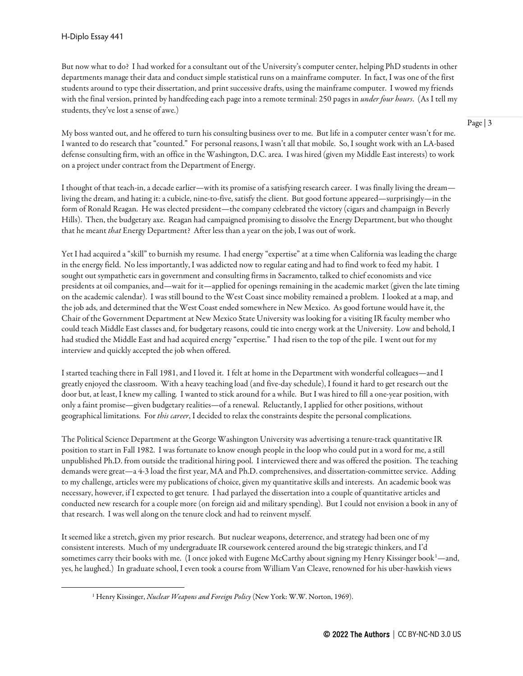But now what to do? I had worked for a consultant out of the University's computer center, helping PhD students in other departments manage their data and conduct simple statistical runs on a mainframe computer. In fact, I was one of the first students around to type their dissertation, and print successive drafts, using the mainframe computer. I wowed my friends with the final version, printed by handfeeding each page into a remote terminal: 250 pages in *under four hours*. (As I tell my students, they've lost a sense of awe.)

My boss wanted out, and he offered to turn his consulting business over to me. But life in a computer center wasn't for me. I wanted to do research that "counted." For personal reasons, I wasn't all that mobile. So, I sought work with an LA-based defense consulting firm, with an office in the Washington, D.C. area. I was hired (given my Middle East interests) to work on a project under contract from the Department of Energy.

I thought of that teach-in, a decade earlier—with its promise of a satisfying research career. I was finally living the dream living the dream, and hating it: a cubicle, nine-to-five, satisfy the client. But good fortune appeared—surprisingly—in the form of Ronald Reagan. He was elected president—the company celebrated the victory (cigars and champaign in Beverly Hills). Then, the budgetary axe. Reagan had campaigned promising to dissolve the Energy Department, but who thought that he meant *that* Energy Department? After less than a year on the job, I was out of work.

Yet I had acquired a "skill" to burnish my resume. I had energy "expertise" at a time when California was leading the charge in the energy field. No less importantly, I was addicted now to regular eating and had to find work to feed my habit. I sought out sympathetic ears in government and consulting firms in Sacramento, talked to chief economists and vice presidents at oil companies, and—wait for it—applied for openings remaining in the academic market (given the late timing on the academic calendar). I was still bound to the West Coast since mobility remained a problem. I looked at a map, and the job ads, and determined that the West Coast ended somewhere in New Mexico. As good fortune would have it, the Chair of the Government Department at New Mexico State University was looking for a visiting IR faculty member who could teach Middle East classes and, for budgetary reasons, could tie into energy work at the University. Low and behold, I had studied the Middle East and had acquired energy "expertise." I had risen to the top of the pile. I went out for my interview and quickly accepted the job when offered.

I started teaching there in Fall 1981, and I loved it. I felt at home in the Department with wonderful colleagues—and I greatly enjoyed the classroom. With a heavy teaching load (and five-day schedule), I found it hard to get research out the door but, at least, I knew my calling. I wanted to stick around for a while. But I was hired to fill a one-year position, with only a faint promise—given budgetary realities—of a renewal. Reluctantly, I applied for other positions, without geographical limitations. For *this career*, I decided to relax the constraints despite the personal complications.

The Political Science Department at the George Washington University was advertising a tenure-track quantitative IR position to start in Fall 1982. I was fortunate to know enough people in the loop who could put in a word for me, a still unpublished Ph.D. from outside the traditional hiring pool. I interviewed there and was offered the position. The teaching demands were great—a 4-3 load the first year, MA and Ph.D. comprehensives, and dissertation-committee service. Adding to my challenge, articles were my publications of choice, given my quantitative skills and interests. An academic book was necessary, however, if I expected to get tenure. I had parlayed the dissertation into a couple of quantitative articles and conducted new research for a couple more (on foreign aid and military spending). But I could not envision a book in any of that research. I was well along on the tenure clock and had to reinvent myself.

<span id="page-2-0"></span>It seemed like a stretch, given my prior research. But nuclear weapons, deterrence, and strategy had been one of my consistent interests. Much of my undergraduate IR coursework centered around the big strategic thinkers, and I'd sometimes carry their books with me. (I once joked with Eugene McCarthy about signing my Henry Kissinger book<sup>[1](#page-2-0)</sup>—and, yes, he laughed.) In graduate school, I even took a course from William Van Cleave, renowned for his uber-hawkish views

<sup>&</sup>lt;sup>1</sup> Henry Kissinger, *Nuclear Weapons and Foreign Policy* (New York: W.W. Norton, 1969).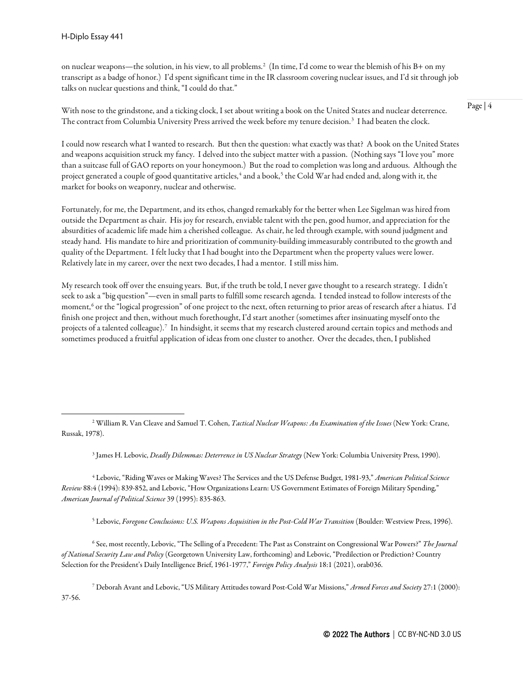on nuclear weapons—the solution, in his view, to all problems.[2](#page-3-0) (In time, I'd come to wear the blemish of his B+ on my transcript as a badge of honor.) I'd spent significant time in the IR classroom covering nuclear issues, and I'd sit through job talks on nuclear questions and think, "I could do that."

With nose to the grindstone, and a ticking clock, I set about writing a book on the United States and nuclear deterrence. The contract from Columbia University Press arrived the week before my tenure decision. $^3\,$  $^3\,$  $^3\,$  I had beaten the clock.

I could now research what I wanted to research. But then the question: what exactly was that? A book on the United States and weapons acquisition struck my fancy. I delved into the subject matter with a passion. (Nothing says "I love you" more than a suitcase full of GAO reports on your honeymoon.) But the road to completion was long and arduous. Although the project generated a couple of good quantitative articles,<sup>[4](#page-3-2)</sup> and a book,<sup>[5](#page-3-3)</sup> the Cold War had ended and, along with it, the market for books on weaponry, nuclear and otherwise.

Fortunately, for me, the Department, and its ethos, changed remarkably for the better when Lee Sigelman was hired from outside the Department as chair. His joy for research, enviable talent with the pen, good humor, and appreciation for the absurdities of academic life made him a cherished colleague. As chair, he led through example, with sound judgment and steady hand. His mandate to hire and prioritization of community-building immeasurably contributed to the growth and quality of the Department. I felt lucky that I had bought into the Department when the property values were lower. Relatively late in my career, over the next two decades, I had a mentor. I still miss him.

My research took off over the ensuing years. But, if the truth be told, I never gave thought to a research strategy. I didn't seek to ask a "big question"—even in small parts to fulfill some research agenda. I tended instead to follow interests of the moment,<sup>[6](#page-3-4)</sup> or the "logical progression" of one project to the next, often returning to prior areas of research after a hiatus. I'd finish one project and then, without much forethought, I'd start another (sometimes after insinuating myself onto the projects of a talented colleague).[7](#page-3-5) In hindsight, it seems that my research clustered around certain topics and methods and sometimes produced a fruitful application of ideas from one cluster to another. Over the decades, then, I published

<sup>3</sup> James H. Lebovic, *Deadly Dilemmas: Deterrence in US Nuclear Strategy* (New York: Columbia University Press, 1990).

<span id="page-3-2"></span><span id="page-3-1"></span><sup>4</sup> Lebovic, "Riding Waves or Making Waves? The Services and the US Defense Budget, 1981-93," *American Political Science Review* 88:4 (1994): 839-852, and Lebovic, "How Organizations Learn: US Government Estimates of Foreign Military Spending," *American Journal of Political Science* 39 (1995): 835-863.

<sup>5</sup> Lebovic, *Foregone Conclusions: U.S. Weapons Acquisition in the Post-Cold War Transition* (Boulder: Westview Press, 1996).

<span id="page-3-4"></span><span id="page-3-3"></span><sup>6</sup> See, most recently, Lebovic, "The Selling of a Precedent: The Past as Constraint on Congressional War Powers?" *The Journal of National Security Law and Policy* (Georgetown University Law, forthcoming) and Lebovic, "Predilection or Prediction? Country Selection for the President's Daily Intelligence Brief, 1961-1977," *Foreign Policy Analysis* 18:1 (2021), orab036.

<span id="page-3-5"></span><sup>7</sup> Deborah Avant and Lebovic, "US Military Attitudes toward Post-Cold War Missions," *Armed Forces and Society* 27:1 (2000): 37-56.

<span id="page-3-0"></span><sup>2</sup> William R. Van Cleave and Samuel T. Cohen, *Tactical Nuclear Weapons: An Examination of the Issues* (New York: Crane, Russak, 1978).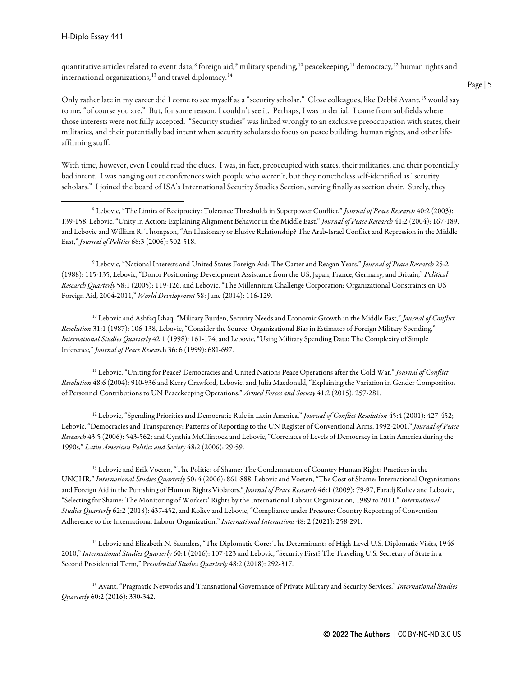quantitative articles related to event data,<sup>[8](#page-4-0)</sup> foreign aid,<sup>[9](#page-4-1)</sup> military spending,<sup>[10](#page-4-2)</sup> peacekeeping,<sup>[11](#page-4-3)</sup> democracy,<sup>[12](#page-4-4)</sup> human rights and international organizations, $13$  and travel diplomacy.<sup>[14](#page-4-6)</sup>

Only rather late in my career did I come to see myself as a "security scholar." Close colleagues, like Debbi Avant,<sup>[15](#page-4-7)</sup> would say to me, "of course you are." But, for some reason, I couldn't see it. Perhaps, I was in denial. I came from subfields where those interests were not fully accepted. "Security studies" was linked wrongly to an exclusive preoccupation with states, their militaries, and their potentially bad intent when security scholars do focus on peace building, human rights, and other lifeaffirming stuff.

With time, however, even I could read the clues. I was, in fact, preoccupied with states, their militaries, and their potentially bad intent. I was hanging out at conferences with people who weren't, but they nonetheless self-identified as "security scholars." I joined the board of ISA's International Security Studies Section, serving finally as section chair. Surely, they

<span id="page-4-1"></span><sup>9</sup> Lebovic, "National Interests and United States Foreign Aid: The Carter and Reagan Years," *Journal of Peace Research* 25:2 (1988): 115-135, Lebovic, "Donor Positioning: Development Assistance from the US, Japan, France, Germany, and Britain," *Political Research Quarterly* 58:1 (2005): 119-126, and Lebovic, "The Millennium Challenge Corporation: Organizational Constraints on US Foreign Aid, 2004-2011," *World Development* 58: June (2014): 116-129.

<span id="page-4-2"></span><sup>10</sup> Lebovic and Ashfaq Ishaq, "Military Burden, Security Needs and Economic Growth in the Middle East," *Journal of Conflict Resolution* 31:1 (1987): 106-138, Lebovic, "Consider the Source: Organizational Bias in Estimates of Foreign Military Spending," *International Studies Quarterly* 42:1 (1998): 161-174, and Lebovic, "Using Military Spending Data: The Complexity of Simple Inference," *Journal of Peace Researc*h 36: 6 (1999): 681-697.

<span id="page-4-3"></span><sup>11</sup> Lebovic, "Uniting for Peace? Democracies and United Nations Peace Operations after the Cold War," *Journal of Conflict Resolution* 48:6 (2004): 910-936 and Kerry Crawford, Lebovic, and Julia Macdonald, "Explaining the Variation in Gender Composition of Personnel Contributions to UN Peacekeeping Operations," *Armed Forces and Society* 41:2 (2015): 257-281.

<span id="page-4-4"></span><sup>12</sup> Lebovic, "Spending Priorities and Democratic Rule in Latin America," *Journal of Conflict Resolution* 45:4 (2001): 427-452; Lebovic, "Democracies and Transparency: Patterns of Reporting to the UN Register of Conventional Arms, 1992-2001," *Journal of Peace Research* 43:5 (2006): 543-562; and Cynthia McClintock and Lebovic, "Correlates of Levels of Democracy in Latin America during the 1990s," *Latin American Politics and Society* 48:2 (2006): 29-59.

<span id="page-4-5"></span><sup>13</sup> Lebovic and Erik Voeten, "The Politics of Shame: The Condemnation of Country Human Rights Practices in the UNCHR," *International Studies Quarterly* 50: 4 (2006): 861-888, Lebovic and Voeten, "The Cost of Shame: International Organizations and Foreign Aid in the Punishing of Human Rights Violators," *Journal of Peace Research* 46:1 (2009): 79-97, Faradj Koliev and Lebovic, "Selecting for Shame: The Monitoring of Workers' Rights by the International Labour Organization, 1989 to 2011," *International Studies Quarterly* 62:2 (2018): 437-452, and Koliev and Lebovic, "Compliance under Pressure: Country Reporting of Convention Adherence to the International Labour Organization," *International Interactions* 48: 2 (2021): 258-291.

<span id="page-4-6"></span><sup>14</sup> Lebovic and Elizabeth N. Saunders, "The Diplomatic Core: The Determinants of High-Level U.S. Diplomatic Visits, 1946-2010," *International Studies Quarterly* 60:1 (2016): 107-123 and Lebovic, "Security First? The Traveling U.S. Secretary of State in a Second Presidential Term," P*residential Studies Quarterly* 48:2 (2018): 292-317.

<span id="page-4-7"></span><sup>15</sup> Avant, "Pragmatic Networks and Transnational Governance of Private Military and Security Services," *International Studies Quarterly* 60:2 (2016): 330-342.

<span id="page-4-0"></span><sup>8</sup> Lebovic, "The Limits of Reciprocity: Tolerance Thresholds in Superpower Conflict," *Journal of Peace Research* 40:2 (2003): 139-158, Lebovic, "Unity in Action: Explaining Alignment Behavior in the Middle East," *Journal of Peace Research* 41:2 (2004): 167-189, and Lebovic and William R. Thompson, "An Illusionary or Elusive Relationship? The Arab-Israel Conflict and Repression in the Middle East," *Journal of Politics* 68:3 (2006): 502-518.